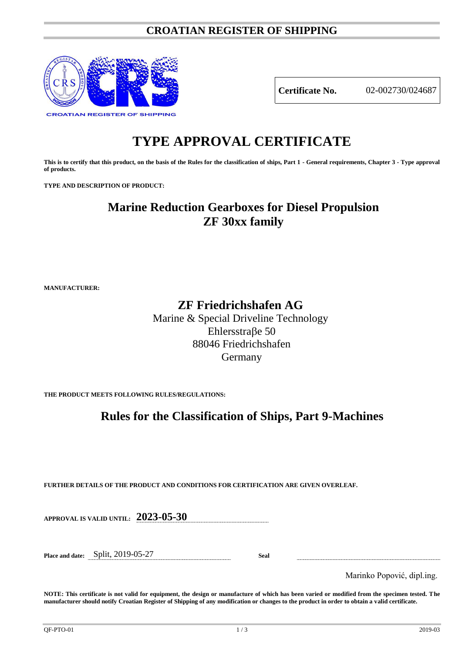### **CROATIAN REGISTER OF SHIPPING**



**Certificate No.** 02-002730/024687

# **TYPE APPROVAL CERTIFICATE**

**This is to certify that this product, on the basis of the Rules for the classification of ships, Part 1 - General requirements, Chapter 3 - Type approval of products.**

**TYPE AND DESCRIPTION OF PRODUCT:** 

## **Marine Reduction Gearboxes for Diesel Propulsion ZF 30xx family**

**MANUFACTURER:**

### **ZF Friedrichshafen AG**

Marine & Special Driveline Technology Ehlersstraße 50 88046 Friedrichshafen Germany

**THE PRODUCT MEETS FOLLOWING RULES/REGULATIONS:**

### **Rules for the Classification of Ships, Part 9-Machines**

**FURTHER DETAILS OF THE PRODUCT AND CONDITIONS FOR CERTIFICATION ARE GIVEN OVERLEAF.**

**APPROVAL IS VALID UNTIL: 2023-05-30**

**Place and date:** Split, 2019-05-27 **Seal**

Marinko Popović, dipl.ing.

**NOTE: This certificate is not valid for equipment, the design or manufacture of which has been varied or modified from the specimen tested. The manufacturer should notify Croatian Register of Shipping of any modification or changes to the product in order to obtain a valid certificate.**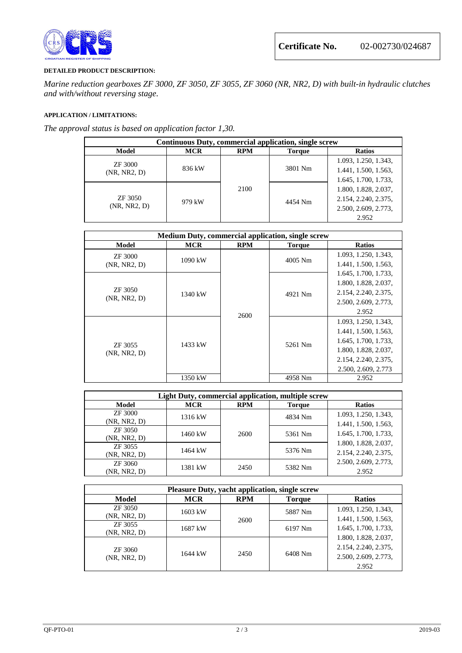

#### **DETAILED PRODUCT DESCRIPTION:**

*Marine reduction gearboxes ZF 3000, ZF 3050, ZF 3055, ZF 3060 (NR, NR2, D) with built-in hydraulic clutches and with/without reversing stage*.

#### **APPLICATION / LIMITATIONS:**

*The approval status is based on application factor 1,30.*

| Continuous Duty, commercial application, single screw |            |            |               |                      |
|-------------------------------------------------------|------------|------------|---------------|----------------------|
| Model                                                 | <b>MCR</b> | <b>RPM</b> | <b>Torque</b> | <b>Ratios</b>        |
| ZF 3000<br>(NR, NR2, D)                               | 836 kW     | 2100       | 3801 Nm       | 1.093, 1.250, 1.343, |
|                                                       |            |            |               | 1.441, 1.500, 1.563, |
|                                                       |            |            |               | 1.645, 1.700, 1.733, |
| ZF 3050<br>(NR, NR2, D)                               | 979 kW     |            | 4454 Nm       | 1.800, 1.828, 2.037, |
|                                                       |            |            |               | 2.154, 2.240, 2.375, |
|                                                       |            |            |               | 2.500, 2.609, 2.773, |
|                                                       |            |            |               | 2.952                |

| <b>Medium Duty, commercial application, single screw</b> |            |                                                  |                      |                      |
|----------------------------------------------------------|------------|--------------------------------------------------|----------------------|----------------------|
| Model                                                    | <b>MCR</b> | <b>RPM</b>                                       | <b>Torque</b>        | <b>Ratios</b>        |
| ZF 3000                                                  | $1090$ kW  | 4005 Nm<br>4921 Nm<br>2600<br>5261 Nm<br>4958 Nm |                      | 1.093, 1.250, 1.343, |
| (NR, NR2, D)                                             |            |                                                  | 1.441, 1.500, 1.563, |                      |
|                                                          | 1340 kW    |                                                  |                      | 1.645, 1.700, 1.733, |
| ZF 3050<br>(NR, NR2, D)                                  |            |                                                  |                      | 1.800, 1.828, 2.037, |
|                                                          |            |                                                  |                      | 2.154, 2.240, 2.375, |
|                                                          |            |                                                  |                      | 2.500, 2.609, 2.773, |
|                                                          |            |                                                  |                      | 2.952                |
| ZF 3055<br>(NR, NR2, D)                                  | 1433 kW    |                                                  |                      | 1.093, 1.250, 1.343, |
|                                                          |            |                                                  |                      | 1.441, 1.500, 1.563, |
|                                                          |            |                                                  |                      | 1.645, 1.700, 1.733, |
|                                                          |            |                                                  |                      | 1.800, 1.828, 2.037, |
|                                                          |            |                                                  |                      | 2.154, 2.240, 2.375, |
|                                                          |            |                                                  |                      | 2.500, 2.609, 2.773  |
|                                                          | 1350 kW    |                                                  |                      | 2.952                |

| Light Duty, commercial application, multiple screw |            |            |         |                                                                                                                      |  |
|----------------------------------------------------|------------|------------|---------|----------------------------------------------------------------------------------------------------------------------|--|
| Model                                              | <b>MCR</b> | <b>RPM</b> | Torque  | <b>Ratios</b>                                                                                                        |  |
| ZF 3000<br>(NR, NR2, D)                            | 1316 kW    | 2600       | 4834 Nm | 1.093, 1.250, 1.343,<br>1.441, 1.500, 1.563,<br>1.645, 1.700, 1.733,<br>1.800, 1.828, 2.037,<br>2.154, 2.240, 2.375, |  |
| ZF 3050<br>(NR, NR2, D)                            | 1460 kW    |            | 5361 Nm |                                                                                                                      |  |
| ZF 3055<br>(NR, NR2, D)                            | 1464 kW    |            | 5376 Nm |                                                                                                                      |  |
| ZF 3060<br>(NR, NR2, D)                            | 1381 kW    | 2450       | 5382 Nm | 2.500, 2.609, 2.773,<br>2.952                                                                                        |  |

| <b>Pleasure Duty, yacht application, single screw</b> |            |            |               |                                                                               |  |
|-------------------------------------------------------|------------|------------|---------------|-------------------------------------------------------------------------------|--|
| Model                                                 | <b>MCR</b> | <b>RPM</b> | <b>Torque</b> | <b>Ratios</b>                                                                 |  |
| ZF 3050<br>(NR, NR2, D)                               | 1603 kW    | 2600       | 5887 Nm       | 1.093, 1.250, 1.343,<br>1.441, 1.500, 1.563,<br>1.645, 1.700, 1.733,          |  |
| ZF 3055<br>(NR, NR2, D)                               | 1687 kW    |            | 6197 Nm       |                                                                               |  |
| ZF 3060<br>(NR, NR2, D)                               | 1644 kW    | 2450       | 6408 Nm       | 1.800, 1.828, 2.037,<br>2.154, 2.240, 2.375,<br>2.500, 2.609, 2.773,<br>2.952 |  |